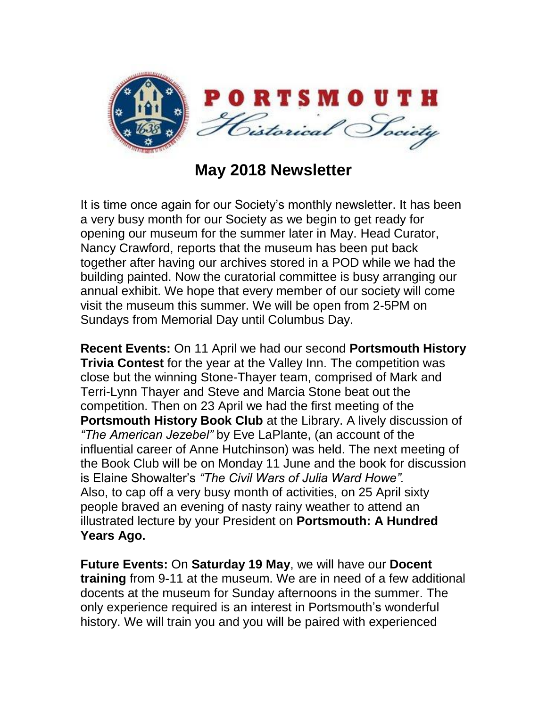

## **May 2018 Newsletter**

It is time once again for our Society's monthly newsletter. It has been a very busy month for our Society as we begin to get ready for opening our museum for the summer later in May. Head Curator, Nancy Crawford, reports that the museum has been put back together after having our archives stored in a POD while we had the building painted. Now the curatorial committee is busy arranging our annual exhibit. We hope that every member of our society will come visit the museum this summer. We will be open from 2-5PM on Sundays from Memorial Day until Columbus Day.

**Recent Events:** On 11 April we had our second **Portsmouth History Trivia Contest** for the year at the Valley Inn. The competition was close but the winning Stone-Thayer team, comprised of Mark and Terri-Lynn Thayer and Steve and Marcia Stone beat out the competition. Then on 23 April we had the first meeting of the **Portsmouth History Book Club** at the Library. A lively discussion of *"The American Jezebel"* by Eve LaPlante, (an account of the influential career of Anne Hutchinson) was held. The next meeting of the Book Club will be on Monday 11 June and the book for discussion is Elaine Showalter's *"The Civil Wars of Julia Ward Howe".* Also, to cap off a very busy month of activities, on 25 April sixty people braved an evening of nasty rainy weather to attend an illustrated lecture by your President on **Portsmouth: A Hundred Years Ago.**

**Future Events:** On **Saturday 19 May**, we will have our **Docent training** from 9-11 at the museum. We are in need of a few additional docents at the museum for Sunday afternoons in the summer. The only experience required is an interest in Portsmouth's wonderful history. We will train you and you will be paired with experienced